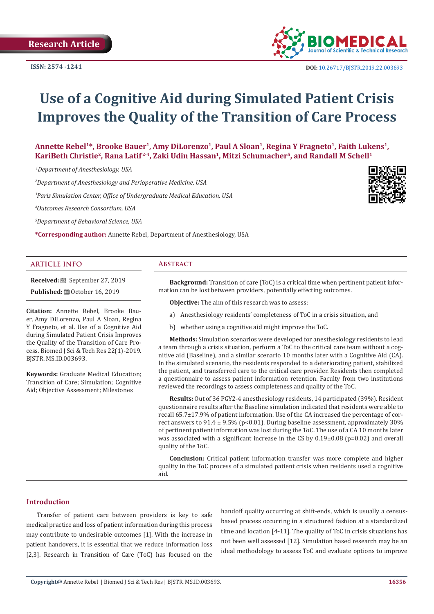

# **Use of a Cognitive Aid during Simulated Patient Crisis Improves the Quality of the Transition of Care Process**

Annette Rebel<sup>1\*</sup>, Brooke Bauer<sup>1</sup>, Amy DiLorenzo<sup>1</sup>, Paul A Sloan<sup>1</sup>, Regina Y Fragneto<sup>1</sup>, Faith Lukens<sup>1</sup>, KariBeth Christie<sup>2</sup>, Rana Latif<sup>2-4</sup>, Zaki Udin Hassan<sup>1</sup>, Mitzi Schumacher<sup>5</sup>, and Randall M Schell<sup>1</sup>

 *1Department of Anesthesiology, USA*

*2 Department of Anesthesiology and Perioperative Medicine, USA*

*3 Paris Simulation Center, Office of Undergraduate Medical Education, USA*

*4 Outcomes Research Consortium, USA*

*5 Department of Behavioral Science, USA*

**\*Corresponding author:** Annette Rebel, Department of Anesthesiology, USA

#### **ARTICLE INFO Abstract**

**Received:** September 27, 2019 **Published:** © October 16, 2019

**Citation:** Annette Rebel, Brooke Bauer, Amy DiLorenzo, Paul A Sloan, Regina Y Fragneto, et al. Use of a Cognitive Aid during Simulated Patient Crisis Improves the Quality of the Transition of Care Process. Biomed J Sci & Tech Res 22(1)-2019. BJSTR. MS.ID.003693.

**Keywords:** Graduate Medical Education; Transition of Care; Simulation; Cognitive Aid; Objective Assessment; Milestones

**Background:** Transition of care (ToC) is a critical time when pertinent patient information can be lost between providers, potentially effecting outcomes.

**Objective:** The aim of this research was to assess:

- a) Anesthesiology residents' completeness of ToC in a crisis situation, and
- b) whether using a cognitive aid might improve the ToC.

**Methods:** Simulation scenarios were developed for anesthesiology residents to lead a team through a crisis situation, perform a ToC to the critical care team without a cognitive aid (Baseline), and a similar scenario 10 months later with a Cognitive Aid (CA). In the simulated scenario, the residents responded to a deteriorating patient, stabilized the patient, and transferred care to the critical care provider. Residents then completed a questionnaire to assess patient information retention. Faculty from two institutions reviewed the recordings to assess completeness and quality of the ToC.

**Results:** Out of 36 PGY2-4 anesthesiology residents, 14 participated (39%). Resident questionnaire results after the Baseline simulation indicated that residents were able to recall 65.7±17.9% of patient information. Use of the CA increased the percentage of correct answers to  $91.4 \pm 9.5\%$  (p<0.01). During baseline assessment, approximately 30% of pertinent patient information was lost during the ToC. The use of a CA 10 months later was associated with a significant increase in the CS by 0.19±0.08 (p=0.02) and overall quality of the ToC.

**Conclusion:** Critical patient information transfer was more complete and higher quality in the ToC process of a simulated patient crisis when residents used a cognitive aid.

# **Introduction**

Transfer of patient care between providers is key to safe medical practice and loss of patient information during this process may contribute to undesirable outcomes [1]. With the increase in patient handovers, it is essential that we reduce information loss [2,3]. Research in Transition of Care (ToC) has focused on the

handoff quality occurring at shift-ends, which is usually a censusbased process occurring in a structured fashion at a standardized time and location [4-11]. The quality of ToC in crisis situations has not been well assessed [12]. Simulation based research may be an ideal methodology to assess ToC and evaluate options to improve

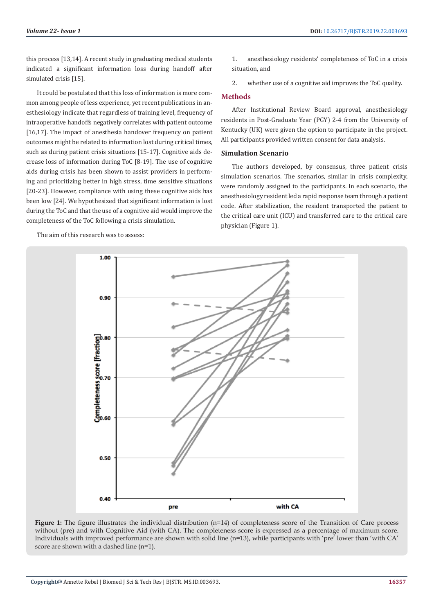this process [13,14]. A recent study in graduating medical students indicated a significant information loss during handoff after simulated crisis [15].

It could be postulated that this loss of information is more common among people of less experience, yet recent publications in anesthesiology indicate that regardless of training level, frequency of intraoperative handoffs negatively correlates with patient outcome [16,17]. The impact of anesthesia handover frequency on patient outcomes might be related to information lost during critical times, such as during patient crisis situations [15-17]. Cognitive aids decrease loss of information during ToC [8-19]. The use of cognitive aids during crisis has been shown to assist providers in performing and prioritizing better in high stress, time sensitive situations [20-23]. However, compliance with using these cognitive aids has been low [24]. We hypothesized that significant information is lost during the ToC and that the use of a cognitive aid would improve the completeness of the ToC following a crisis simulation.

The aim of this research was to assess:

1. anesthesiology residents' completeness of ToC in a crisis situation, and

2. whether use of a cognitive aid improves the ToC quality.

## **Methods**

After Institutional Review Board approval, anesthesiology residents in Post-Graduate Year (PGY) 2-4 from the University of Kentucky (UK) were given the option to participate in the project. All participants provided written consent for data analysis.

#### **Simulation Scenario**

The authors developed, by consensus, three patient crisis simulation scenarios. The scenarios, similar in crisis complexity, were randomly assigned to the participants. In each scenario, the anesthesiology resident led a rapid response team through a patient code. After stabilization, the resident transported the patient to the critical care unit (ICU) and transferred care to the critical care physician (Figure 1).



**Figure 1:** The figure illustrates the individual distribution (n=14) of completeness score of the Transition of Care process without (pre) and with Cognitive Aid (with CA). The completeness score is expressed as a percentage of maximum score. Individuals with improved performance are shown with solid line (n=13), while participants with 'pre' lower than 'with CA' score are shown with a dashed line (n=1).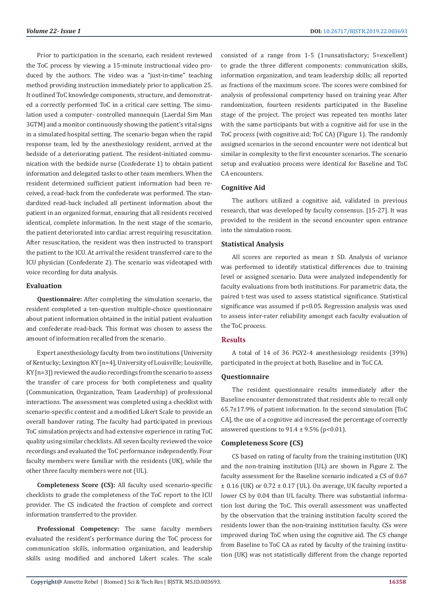Prior to participation in the scenario, each resident reviewed the ToC process by viewing a 15-minute instructional video produced by the authors. The video was a "just-in-time" teaching method providing instruction immediately prior to application 25. It outlined ToC knowledge components, structure, and demonstrated a correctly performed ToC in a critical care setting. The simulation used a computer- controlled mannequin (Laerdal Sim Man 3GTM) and a monitor continuously showing the patient's vital signs in a simulated hospital setting. The scenario began when the rapid response team, led by the anesthesiology resident, arrived at the bedside of a deteriorating patient. The resident-initiated communication with the bedside nurse (Confederate 1) to obtain patient information and delegated tasks to other team members. When the resident determined sufficient patient information had been received, a read-back from the confederate was performed. The standardized read-back included all pertinent information about the patient in an organized format, ensuring that all residents received identical, complete information. In the next stage of the scenario, the patient deteriorated into cardiac arrest requiring resuscitation. After resuscitation, the resident was then instructed to transport the patient to the ICU. At arrival the resident transferred care to the ICU physician (Confederate 2). The scenario was videotaped with voice recording for data analysis.

### **Evaluation**

**Questionnaire:** After completing the simulation scenario, the resident completed a ten-question multiple-choice questionnaire about patient information obtained in the initial patient evaluation and confederate read-back. This format was chosen to assess the amount of information recalled from the scenario.

Expert anesthesiology faculty from two institutions (University of Kentucky; Lexington KY [n=4], University of Louisville; Louisville, KY [n=3]) reviewed the audio recordings from the scenario to assess the transfer of care process for both completeness and quality (Communication, Organization, Team Leadership) of professional interactions. The assessment was completed using a checklist with scenario-specific content and a modified Likert Scale to provide an overall handover rating. The faculty had participated in previous ToC simulation projects and had extensive experience in rating ToC quality using similar checklists. All seven faculty reviewed the voice recordings and evaluated the ToC performance independently. Four faculty members were familiar with the residents (UK), while the other three faculty members were not (UL).

**Completeness Score (CS):** All faculty used scenario-specific checklists to grade the completeness of the ToC report to the ICU provider. The CS indicated the fraction of complete and correct information transferred to the provider.

**Professional Competency:** The same faculty members evaluated the resident's performance during the ToC process for communication skills, information organization, and leadership skills using modified and anchored Likert scales. The scale consisted of a range from 1-5 (1=unsatisfactory; 5=excellent) to grade the three different components: communication skills, information organization, and team leadership skills; all reported as fractions of the maximum score. The scores were combined for analysis of professional competency based on training year. After randomization, fourteen residents participated in the Baseline stage of the project. The project was repeated ten months later with the same participants but with a cognitive aid for use in the ToC process (with cognitive aid; ToC CA) (Figure 1). The randomly assigned scenarios in the second encounter were not identical but similar in complexity to the first encounter scenarios. The scenario setup and evaluation process were identical for Baseline and ToC CA encounters.

### **Cognitive Aid**

The authors utilized a cognitive aid, validated in previous research, that was developed by faculty consensus. [15-27]. It was provided to the resident in the second encounter upon entrance into the simulation room.

# **Statistical Analysis**

All scores are reported as mean ± SD. Analysis of variance was performed to identify statistical differences due to training level or assigned scenario. Data were analyzed independently for faculty evaluations from both institutions. For parametric data, the paired t-test was used to assess statistical significance. Statistical significance was assumed if p<0.05. Regression analysis was used to assess inter-rater reliability amongst each faculty evaluation of the ToC process.

# **Results**

A total of 14 of 36 PGY2-4 anesthesiology residents (39%) participated in the project at both, Baseline and in ToC CA.

#### **Questionnaire**

The resident questionnaire results immediately after the Baseline encounter demonstrated that residents able to recall only 65.7±17.9% of patient information. In the second simulation [ToC CA], the use of a cognitive aid increased the percentage of correctly answered questions to  $91.4 \pm 9.5\%$  (p<0.01).

#### **Completeness Score (CS)**

CS based on rating of faculty from the training institution (UK) and the non-training institution (UL) are shown in Figure 2. The faculty assessment for the Baseline scenario indicated a CS of 0.67  $\pm$  0.16 (UK) or 0.72  $\pm$  0.17 (UL). On average, UK faculty reported a lower CS by 0.04 than UL faculty. There was substantial information lost during the ToC. This overall assessment was unaffected by the observation that the training institution faculty scored the residents lower than the non-training institution faculty. CSs were improved during ToC when using the cognitive aid. The CS change from Baseline to ToC CA as rated by faculty of the training institution (UK) was not statistically different from the change reported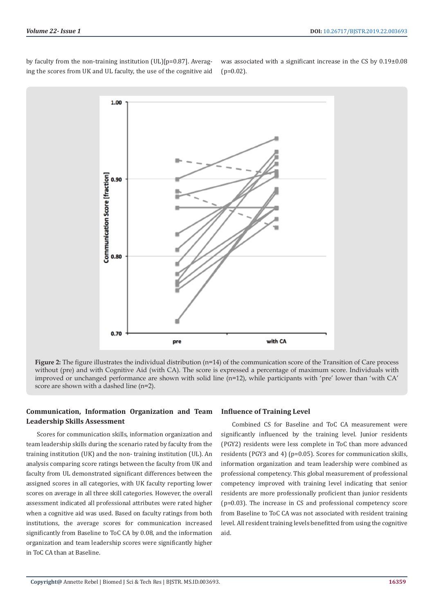by faculty from the non-training institution (UL)[p=0.87]. Averaging the scores from UK and UL faculty, the use of the cognitive aid was associated with a significant increase in the CS by 0.19±0.08  $(p=0.02)$ .



**Figure 2:** The figure illustrates the individual distribution (n=14) of the communication score of the Transition of Care process without (pre) and with Cognitive Aid (with CA). The score is expressed a percentage of maximum score. Individuals with improved or unchanged performance are shown with solid line (n=12), while participants with 'pre' lower than 'with CA' score are shown with a dashed line (n=2).

# **Communication, Information Organization and Team Leadership Skills Assessment**

Scores for communication skills, information organization and team leadership skills during the scenario rated by faculty from the training institution (UK) and the non- training institution (UL). An analysis comparing score ratings between the faculty from UK and faculty from UL demonstrated significant differences between the assigned scores in all categories, with UK faculty reporting lower scores on average in all three skill categories. However, the overall assessment indicated all professional attributes were rated higher when a cognitive aid was used. Based on faculty ratings from both institutions, the average scores for communication increased significantly from Baseline to ToC CA by 0.08, and the information organization and team leadership scores were significantly higher in ToC CA than at Baseline.

#### **Influence of Training Level**

Combined CS for Baseline and ToC CA measurement were significantly influenced by the training level. Junior residents (PGY2) residents were less complete in ToC than more advanced residents (PGY3 and 4) (p=0.05). Scores for communication skills, information organization and team leadership were combined as professional competency. This global measurement of professional competency improved with training level indicating that senior residents are more professionally proficient than junior residents (p=0.03). The increase in CS and professional competency score from Baseline to ToC CA was not associated with resident training level. All resident training levels benefitted from using the cognitive aid.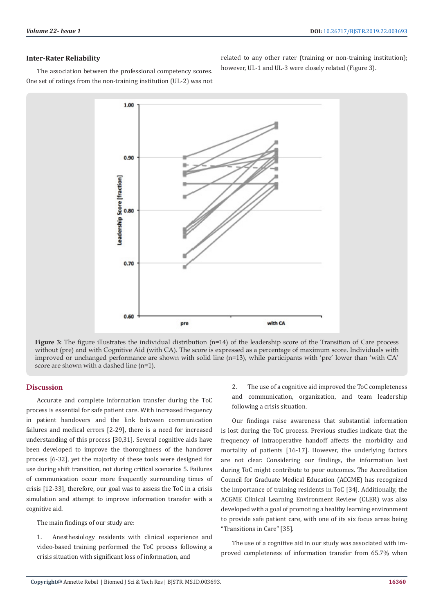#### **Inter-Rater Reliability**

One set of ratings from the non-training institution (UL-2) was not

The association between the professional competency scores. related to any other rater (training or non-training institution); however, UL-1 and UL-3 were closely related (Figure 3).

> 1.00  $0.90$ eadership Score [fraction]  $0.80$ 0.70 0.60 with CA pre

**Figure 3:** The figure illustrates the individual distribution (n=14) of the leadership score of the Transition of Care process without (pre) and with Cognitive Aid (with CA). The score is expressed as a percentage of maximum score. Individuals with improved or unchanged performance are shown with solid line (n=13), while participants with 'pre' lower than 'with CA' score are shown with a dashed line (n=1).

# **Discussion**

Accurate and complete information transfer during the ToC process is essential for safe patient care. With increased frequency in patient handovers and the link between communication failures and medical errors [2-29], there is a need for increased understanding of this process [30,31]. Several cognitive aids have been developed to improve the thoroughness of the handover process [6-32], yet the majority of these tools were designed for use during shift transition, not during critical scenarios 5. Failures of communication occur more frequently surrounding times of crisis [12-33], therefore, our goal was to assess the ToC in a crisis simulation and attempt to improve information transfer with a cognitive aid.

The main findings of our study are:

1. Anesthesiology residents with clinical experience and video-based training performed the ToC process following a crisis situation with significant loss of information, and

2. The use of a cognitive aid improved the ToC completeness and communication, organization, and team leadership following a crisis situation.

Our findings raise awareness that substantial information is lost during the ToC process. Previous studies indicate that the frequency of intraoperative handoff affects the morbidity and mortality of patients [16-17]. However, the underlying factors are not clear. Considering our findings, the information lost during ToC might contribute to poor outcomes. The Accreditation Council for Graduate Medical Education (ACGME) has recognized the importance of training residents in ToC [34]. Additionally, the ACGME Clinical Learning Environment Review (CLER) was also developed with a goal of promoting a healthy learning environment to provide safe patient care, with one of its six focus areas being "Transitions in Care" [35].

The use of a cognitive aid in our study was associated with improved completeness of information transfer from 65.7% when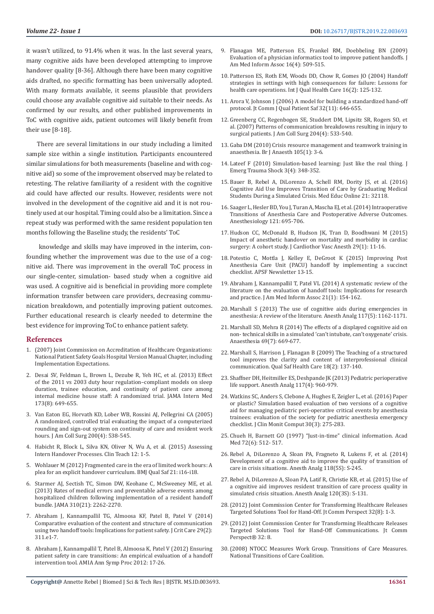it wasn't utilized, to 91.4% when it was. In the last several years, many cognitive aids have been developed attempting to improve handover quality [8-36]. Although there have been many cognitive aids drafted, no specific formatting has been universally adopted. With many formats available, it seems plausible that providers could choose any available cognitive aid suitable to their needs. As confirmed by our results, and other published improvements in ToC with cognitive aids, patient outcomes will likely benefit from their use [8-18].

There are several limitations in our study including a limited sample size within a single institution. Participants encountered similar simulations for both measurements (baseline and with cognitive aid) so some of the improvement observed may be related to retesting. The relative familiarity of a resident with the cognitive aid could have affected our results. However, residents were not involved in the development of the cognitive aid and it is not routinely used at our hospital. Timing could also be a limitation. Since a repeat study was performed with the same resident population ten months following the Baseline study, the residents' ToC

 knowledge and skills may have improved in the interim, confounding whether the improvement was due to the use of a cognitive aid. There was improvement in the overall ToC process in our single-center, simulation- based study when a cognitive aid was used. A cognitive aid is beneficial in providing more complete information transfer between care providers, decreasing communication breakdown, and potentially improving patient outcomes. Further educational research is clearly needed to determine the best evidence for improving ToC to enhance patient safety.

#### **References**

- 1. (2007) Joint Commission on Accreditation of Healthcare Organizations: National Patient Safety Goals Hospital Version Manual Chapter, including Implementation Expectations.
- 2. [Desai SV, Feldman L, Brown L, Dezube R, Yeh HC, et al. \(2013\) Effect](https://www.ncbi.nlm.nih.gov/pubmed/23529771)  [of the 2011 vs 2003 duty hour regulation–compliant models on sleep](https://www.ncbi.nlm.nih.gov/pubmed/23529771)  [duration, trainee education, and continuity of patient care among](https://www.ncbi.nlm.nih.gov/pubmed/23529771)  [internal medicine house staff: A randomized trial. JAMA Intern Med](https://www.ncbi.nlm.nih.gov/pubmed/23529771)  [173\(8\): 649-655.](https://www.ncbi.nlm.nih.gov/pubmed/23529771)
- 3. [Van Eaton EG, Horvath KD, Lober WB, Rossini AJ, Pellegrini CA \(2005\)](https://www.ncbi.nlm.nih.gov/pubmed/15804467)  [A randomized, controlled trial evaluating the impact of a computerized](https://www.ncbi.nlm.nih.gov/pubmed/15804467)  [rounding and sign-out system on continuity of care and resident work](https://www.ncbi.nlm.nih.gov/pubmed/15804467)  [hours. J Am Coll Surg 200\(4\): 538-545.](https://www.ncbi.nlm.nih.gov/pubmed/15804467)
- 4. [Habicht R, Block L, Silva KN, Oliver N, Wu A, et al. \(2015\) Assessing](https://www.researchgate.net/publication/278792106_Assessing_intern_handover_processes)  [Intern Handover Processes. Clin Teach 12: 1-5.](https://www.researchgate.net/publication/278792106_Assessing_intern_handover_processes)
- 5. [Wohlauer M \(2012\) Fragmented care in the era of limited work hours: A](https://www.ncbi.nlm.nih.gov/pubmed/23173183)  [plea for an explicit handover curriculum. BMJ Qual Saf 21: i16-i18.](https://www.ncbi.nlm.nih.gov/pubmed/23173183)
- 6. [Starmer AJ, Sectish TC, Simon DW, Keohane C, McSweeney ME, et al.](https://www.ncbi.nlm.nih.gov/pubmed/24302089)  [\(2013\) Rates of medical errors and preventable adverse events among](https://www.ncbi.nlm.nih.gov/pubmed/24302089)  [hospitalized children following implementation of a resident handoff](https://www.ncbi.nlm.nih.gov/pubmed/24302089)  [bundle. JAMA 310\(21\): 2262-2270.](https://www.ncbi.nlm.nih.gov/pubmed/24302089)
- 7. [Abraham J, Kannampallil TG, Almoosa KF, Patel B, Patel V \(2014\)](https://www.ncbi.nlm.nih.gov/pubmed/24360818)  [Comparative evaluation of the content and structure of communication](https://www.ncbi.nlm.nih.gov/pubmed/24360818)  [using two handoff tools: Implications for patient safety. J Crit Care 29\(2\):](https://www.ncbi.nlm.nih.gov/pubmed/24360818)  [311.e1-7.](https://www.ncbi.nlm.nih.gov/pubmed/24360818)
- 8. [Abraham J, Kannampallil T, Patel B, Almoosa K, Patel V \(2012\) Ensuring](https://www.ncbi.nlm.nih.gov/pubmed/23304268)  [patient safety in care transitions: An empirical evaluation of a handoff](https://www.ncbi.nlm.nih.gov/pubmed/23304268)  [intervention tool. AMIA Ann Symp Proc 2012: 17-26.](https://www.ncbi.nlm.nih.gov/pubmed/23304268)
- 9. [Flanagan ME, Patterson ES, Frankel RM, Doebbeling BN \(2009\)](https://www.ncbi.nlm.nih.gov/pubmed/19390111) [Evaluation of a physician informatics tool to improve patient handoffs. J](https://www.ncbi.nlm.nih.gov/pubmed/19390111) [Am Med Inform Assoc 16\(4\): 509-515.](https://www.ncbi.nlm.nih.gov/pubmed/19390111)
- 10. [Patterson ES, Roth EM, Woods DD, Chow R, Gomes JO \(2004\) Handoff](https://www.ncbi.nlm.nih.gov/pubmed/15051706) [strategies in settings with high consequences for failure: Lessons for](https://www.ncbi.nlm.nih.gov/pubmed/15051706) [health care operations. Int J Qual Health Care 16\(2\): 125-132.](https://www.ncbi.nlm.nih.gov/pubmed/15051706)
- 11. [Arora V, Johnson J \(2006\) A model for building a standardized hand-off](https://www.ncbi.nlm.nih.gov/pubmed/17120925) [protocol. Jt Comm J Qual Patient Saf 32\(11\): 646-655.](https://www.ncbi.nlm.nih.gov/pubmed/17120925)
- 12. [Greenberg CC, Regenbogen SE, Studdert DM, Lipsitz SR, Rogers SO, et](https://www.ncbi.nlm.nih.gov/pubmed/17382211) [al. \(2007\) Patterns of communication breakdowns resulting in injury to](https://www.ncbi.nlm.nih.gov/pubmed/17382211) [surgical patients. J Am Coll Surg 204\(4\): 533-540.](https://www.ncbi.nlm.nih.gov/pubmed/17382211)
- 13. [Gaba DM \(2010\) Crisis resource management and teamwork training in](https://www.ncbi.nlm.nih.gov/pubmed/20551023) [anaesthesia. Br J Anaesth 105\(1\): 3-6.](https://www.ncbi.nlm.nih.gov/pubmed/20551023)
- 14. [Lateef F \(2010\) Simulation-based learning: Just like the real thing. J](https://www.ncbi.nlm.nih.gov/pubmed/21063557) [Emerg Trauma Shock 3\(4\): 348-352.](https://www.ncbi.nlm.nih.gov/pubmed/21063557)
- 15. [Bauer B, Rebel A, DiLorenzo A, Schell RM, Dority JS, et al. \(2016\)](https://www.ncbi.nlm.nih.gov/pmc/articles/PMC4951638/) [Cognitive Aid Use Improves Transition of Care by Graduating Medical](https://www.ncbi.nlm.nih.gov/pmc/articles/PMC4951638/) [Students During a Simulated Crisis. Med Educ Online 21: 32118.](https://www.ncbi.nlm.nih.gov/pmc/articles/PMC4951638/)
- 16. [Saager L, Hesler BD, You J, Turan A, Mascha EJ, et al. \(2014\) Intraoperative](https://www.ncbi.nlm.nih.gov/pubmed/25102312) [Transitions of Anesthesia Care and Postoperative Adverse Outcomes.](https://www.ncbi.nlm.nih.gov/pubmed/25102312) [Anesthesiology 121: 695-706.](https://www.ncbi.nlm.nih.gov/pubmed/25102312)
- 17. [Hudson CC, McDonald B, Hudson JK, Tran D, Boodhwani M \(2015\)](https://www.ncbi.nlm.nih.gov/pubmed/25440620) [Impact of anesthetic handover on mortality and morbidity in cardiac](https://www.ncbi.nlm.nih.gov/pubmed/25440620) [surgery: A cohort study. J Cardiothor Vasc Anesth 29\(1\): 11-16.](https://www.ncbi.nlm.nih.gov/pubmed/25440620)
- 18. [Potestio C, Mottla J, Kelley E, DeGroot K \(2015\) Improving Post](https://www.apsf.org/article/improving-post-anesthesia-care-unit-pacu-handoff-by-implementing-a-succinct-checklist/) [Anesthesia Care Unit \(PACU\) handoff by implementing a succinct](https://www.apsf.org/article/improving-post-anesthesia-care-unit-pacu-handoff-by-implementing-a-succinct-checklist/) [checklist. APSF Newsletter 13-15.](https://www.apsf.org/article/improving-post-anesthesia-care-unit-pacu-handoff-by-implementing-a-succinct-checklist/)
- 19. [Abraham J, Kannampallil T, Patel VL \(2014\) A systematic review of the](https://www.ncbi.nlm.nih.gov/pubmed/23703824) [literature on the evaluation of handoff tools: Implications for research](https://www.ncbi.nlm.nih.gov/pubmed/23703824) [and practice. J Am Med Inform Assoc 21\(1\): 154-162.](https://www.ncbi.nlm.nih.gov/pubmed/23703824)
- 20. [Marshall S \(2013\) The use of cognitive aids during emergencies in](https://www.ncbi.nlm.nih.gov/pubmed/24029855) [anesthesia: A review of the literature. Anesth Analg 117\(5\): 1162-1171.](https://www.ncbi.nlm.nih.gov/pubmed/24029855)
- 21. [Marshall SD, Mehra R \(2014\) The effects of a displayed cognitive aid on](https://www.ncbi.nlm.nih.gov/pubmed/24917333) [non- technical skills in a simulated 'can't intubate, can't oxygenate' crisis.](https://www.ncbi.nlm.nih.gov/pubmed/24917333) [Anaesthesia 69\(7\): 669-677.](https://www.ncbi.nlm.nih.gov/pubmed/24917333)
- 22. [Marshall S, Harrison J, Flanagan B \(2009\) The Teaching of a structured](https://www.ncbi.nlm.nih.gov/pubmed/19342529) [tool improves the clarity and content of interprofessional clinical](https://www.ncbi.nlm.nih.gov/pubmed/19342529) [communication. Qual Saf Health Care 18\(2\): 137-140.](https://www.ncbi.nlm.nih.gov/pubmed/19342529)
- 23. [Shaffner DH, Heitmiller ES, Deshpande JK \(2013\) Pediatric perioperative](https://www.ncbi.nlm.nih.gov/pubmed/24023023) [life support. Anesth Analg 117\(4\): 960-979.](https://www.ncbi.nlm.nih.gov/pubmed/24023023)
- 24. [Watkins SC, Anders S, Clebone A, Hughes E, Zeigler L, et al. \(2016\) Paper](https://www.ncbi.nlm.nih.gov/pubmed/26067401) [or plastic? Simulation based evaluation of two versions of a cognitive](https://www.ncbi.nlm.nih.gov/pubmed/26067401) [aid for managing pediatric peri-operative critical events by anesthesia](https://www.ncbi.nlm.nih.gov/pubmed/26067401) [trainees: evaluation of the society for pediatric anesthesia emergency](https://www.ncbi.nlm.nih.gov/pubmed/26067401) [checklist. J Clin Monit Comput 30\(3\): 275-283.](https://www.ncbi.nlm.nih.gov/pubmed/26067401)
- 25. [Chueh H, Barnett GO \(1997\) "Just-in-time" clinical information. Acad](https://www.ncbi.nlm.nih.gov/pubmed/9200584) [Med 72\(6\): 512- 517.](https://www.ncbi.nlm.nih.gov/pubmed/9200584)
- 26. Rebel A, DiLorenzo A, Sloan PA, Fragneto R, Lukens F, et al. (2014) Development of a cognitive aid to improve the quality of transition of care in crisis situations. Anesth Analg 118(5S): S-245.
- 27. Rebel A, DiLorenzo A, Sloan PA, Latif R, Christie KB, et al. (2015) Use of a cognitive aid improves resident transition of care process quality in simulated crisis situation. Anesth Analg 120(3S): S-131.
- 28.[\(2012\) Joint Commission Center for Transforming Healthcare Releases](https://www.ncbi.nlm.nih.gov/pubmed/22928243) [Targeted Solutions Tool for Hand-Off. Jt Comm Perspect 32\(8\): 1-3.](https://www.ncbi.nlm.nih.gov/pubmed/22928243)
- 29.[\(2012\) Joint Commission Center for Transforming Healthcare Releases](https://www.jointcommission.org/assets/1/6/tst_hoc_persp_08_12.pdf) [Targeted Solutions Tool for Hand-Off Communications. Jt Comm](https://www.jointcommission.org/assets/1/6/tst_hoc_persp_08_12.pdf) [Perspect® 32: 8.](https://www.jointcommission.org/assets/1/6/tst_hoc_persp_08_12.pdf)
- 30.(2008) NTOCC Measures Work Group. Transitions of Care Measures. National Transitions of Care Coalition.